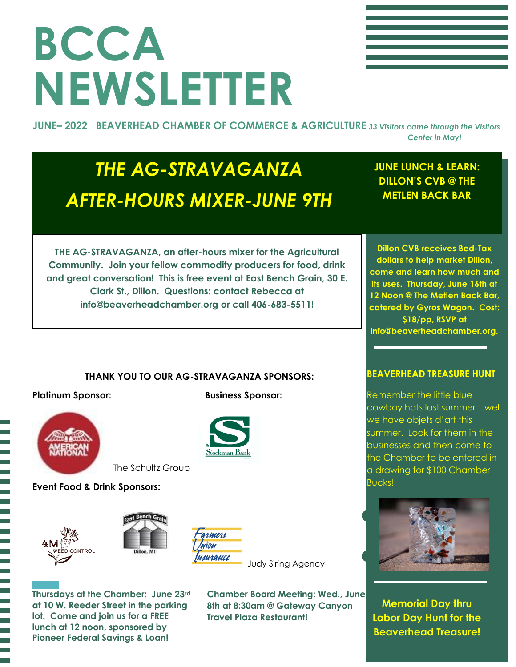## **BCCA NEWSLETTER**

**JUNE– 2022 BEAVERHEAD CHAMBER OF COMMERCE & AGRICULTURE** *33 Visitors came through the Visitors Center in May!*

### *THE AG-STRAVAGANZA AFTER-HOURS MIXER-JUNE 9TH*

**JUNE LUNCH & LEARN: DILLON'S CVB @ THE METLEN BACK BAR**

**THE AG-STRAVAGANZA, an after-hours mixer for the Agricultural Community. Join your fellow commodity producers for food, drink and great conversation! This is free event at East Bench Grain, 30 E. Clark St., Dillon. Questions: contact Rebecca at [info@beaverheadchamber.org](mailto:info@beaverheadchamber.org) or call 406-683-5511!**

**Dillon CVB receives Bed-Tax dollars to help market Dillon, come and learn how much and its uses. Thursday, June 16th at 12 Noon @ The Metlen Back Bar, catered by Gyros Wagon. Cost: \$18/pp, RSVP at info@beaverheadchamber.org.**

#### **THANK YOU TO OUR AG-STRAVAGANZA SPONSORS:**



**Platinum Sponsor:** Business Sponsor:



**Event Food & Drink Sponsors:**





The Schultz Group



**Thursdays at the Chamber: June 23rd at 10 W. Reeder Street in the parking lot. Come and join us for a FREE lunch at 12 noon, sponsored by Pioneer Federal Savings & Loan!**

**Chamber Board Meeting: Wed., June 8th at 8:30am @ Gateway Canyon Travel Plaza Restaurant!**

#### **BEAVERHEAD TREASURE HUNT**

Remember the little blue cowboy hats last summer…well we have objets d'art this summer. Look for them in the businesses and then come to the Chamber to be entered in a drawing for \$100 Chamber Bucks!



**Memorial Day thru Labor Day Hunt for the Beaverhead Treasure!**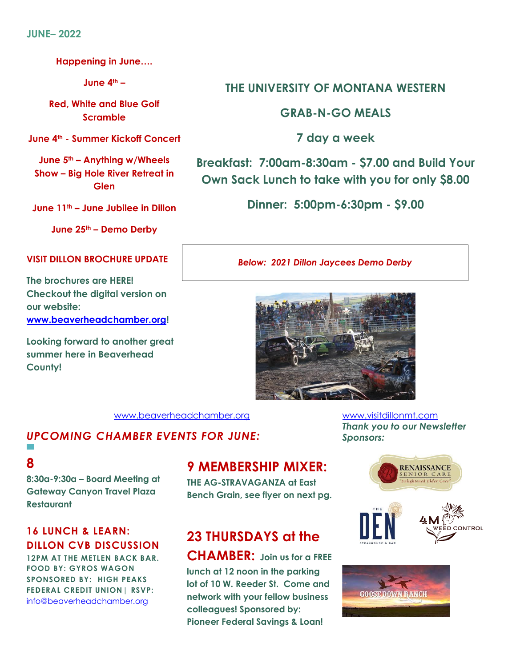**Happening in June….**

**June 4th –**

**Red, White and Blue Golf Scramble**

**June 4th - Summer Kickoff Concert**

**June 5th – Anything w/Wheels Show – Big Hole River Retreat in Glen**

**June 11th – June Jubilee in Dillon**

**June 25th – Demo Derby**

#### **VISIT DILLON BROCHURE UPDATE**

**The brochures are HERE! Checkout the digital version on our website: [www.beaverheadchamber.org!](http://www.beaverheadchamber.org/)**

**Looking forward to another great summer here in Beaverhead County!**

#### **THE UNIVERSITY OF MONTANA WESTERN**

**GRAB-N-GO MEALS**

**7 day a week**

**Breakfast: 7:00am-8:30am - \$7.00 and Build Your Own Sack Lunch to take with you for only \$8.00**

**Dinner: 5:00pm-6:30pm - \$9.00**

*Below: 2021 Dillon Jaycees Demo Derby*



[www.beaverheadchamber.org](http://www.beaverheadchamber.org/) [www.visitdillonmt.com](http://www.visitdillonmt.com/)

#### *UPCOMING CHAMBER EVENTS FOR JUNE:*

#### **8**

 $\mathcal{L}_{\mathcal{A}}$ 

**8:30a-9:30a – Board Meeting at Gateway Canyon Travel Plaza Restaurant**

#### **16 LUNCH & LEARN: DILLON CVB DISCUSSION**

**12PM AT THE METLEN BACK BAR. FOOD BY: GYROS WAGON SPONSORED BY: HIGH PEAKS FEDERAL CREDIT UNION| RSVP:**  [info@beaverheadchamber.org](mailto:info@beaverheadchamber.org)

#### **9 MEMBERSHIP MIXER:**

**THE AG-STRAVAGANZA at East Bench Grain, see flyer on next pg.**

### **23 THURSDAYS at the**

**CHAMBER: Join us for a FREE lunch at 12 noon in the parking lot of 10 W. Reeder St. Come and network with your fellow business colleagues! Sponsored by: Pioneer Federal Savings & Loan!**

*Thank you to our Newsletter Sponsors:*



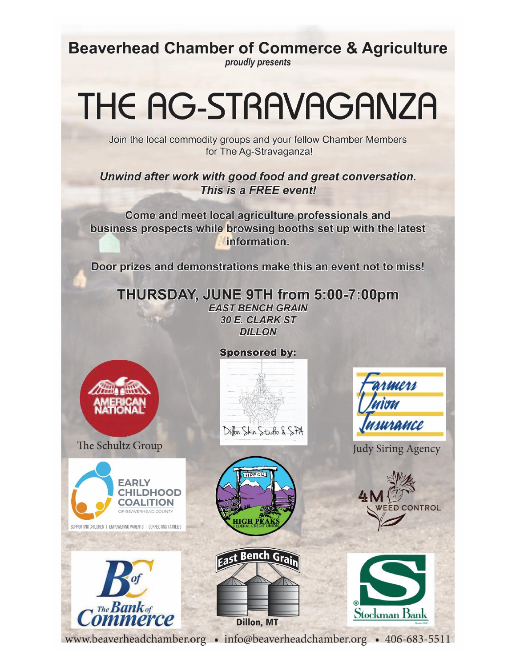**Beaverhead Chamber of Commerce & Agriculture** 

proudly presents

### THE AG-STRAVAGANZA

Join the local commodity groups and your fellow Chamber Members for The Ag-Stravaganza!

Unwind after work with good food and great conversation. This is a FREE event!

Come and meet local agriculture professionals and business prospects while browsing booths set up with the latest information.

Door prizes and demonstrations make this an event not to miss!

THURSDAY, JUNE 9TH from 5:00-7:00pm **EAST BENCH GRAIN** 30 E. CLARK ST **DILLON** 

**Sponsored by:** 

Diffon Skin Studio & SPA



The Schultz Group



The **Bank** of nerce







Judy Siring Agency





www.beaverheadchamber.org • info@beaverheadchamber.org • 406-683-5511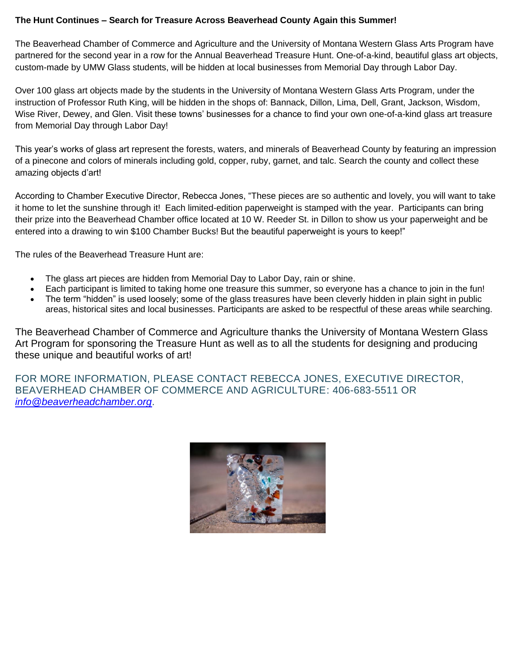#### **The Hunt Continues – Search for Treasure Across Beaverhead County Again this Summer!**

The Beaverhead Chamber of Commerce and Agriculture and the University of Montana Western Glass Arts Program have partnered for the second year in a row for the Annual Beaverhead Treasure Hunt. One-of-a-kind, beautiful glass art objects, custom-made by UMW Glass students, will be hidden at local businesses from Memorial Day through Labor Day.

Over 100 glass art objects made by the students in the University of Montana Western Glass Arts Program, under the instruction of Professor Ruth King, will be hidden in the shops of: Bannack, Dillon, Lima, Dell, Grant, Jackson, Wisdom, Wise River, Dewey, and Glen. Visit these towns' businesses for a chance to find your own one-of-a-kind glass art treasure from Memorial Day through Labor Day!

This year's works of glass art represent the forests, waters, and minerals of Beaverhead County by featuring an impression of a pinecone and colors of minerals including gold, copper, ruby, garnet, and talc. Search the county and collect these amazing objects d'art!

According to Chamber Executive Director, Rebecca Jones, "These pieces are so authentic and lovely, you will want to take it home to let the sunshine through it! Each limited-edition paperweight is stamped with the year. Participants can bring their prize into the Beaverhead Chamber office located at 10 W. Reeder St. in Dillon to show us your paperweight and be entered into a drawing to win \$100 Chamber Bucks! But the beautiful paperweight is yours to keep!"

The rules of the Beaverhead Treasure Hunt are:

- The glass art pieces are hidden from Memorial Day to Labor Day, rain or shine.
- Each participant is limited to taking home one treasure this summer, so everyone has a chance to join in the fun!
- The term "hidden" is used loosely; some of the glass treasures have been cleverly hidden in plain sight in public areas, historical sites and local businesses. Participants are asked to be respectful of these areas while searching.

The Beaverhead Chamber of Commerce and Agriculture thanks the University of Montana Western Glass Art Program for sponsoring the Treasure Hunt as well as to all the students for designing and producing these unique and beautiful works of art!

FOR MORE INFORMATION, PLEASE CONTACT REBECCA JONES, EXECUTIVE DIRECTOR, BEAVERHEAD CHAMBER OF COMMERCE AND AGRICULTURE: 406-683-5511 OR *[info@beaverheadchamber.org](mailto:info@beaverheadchamber.org)*.